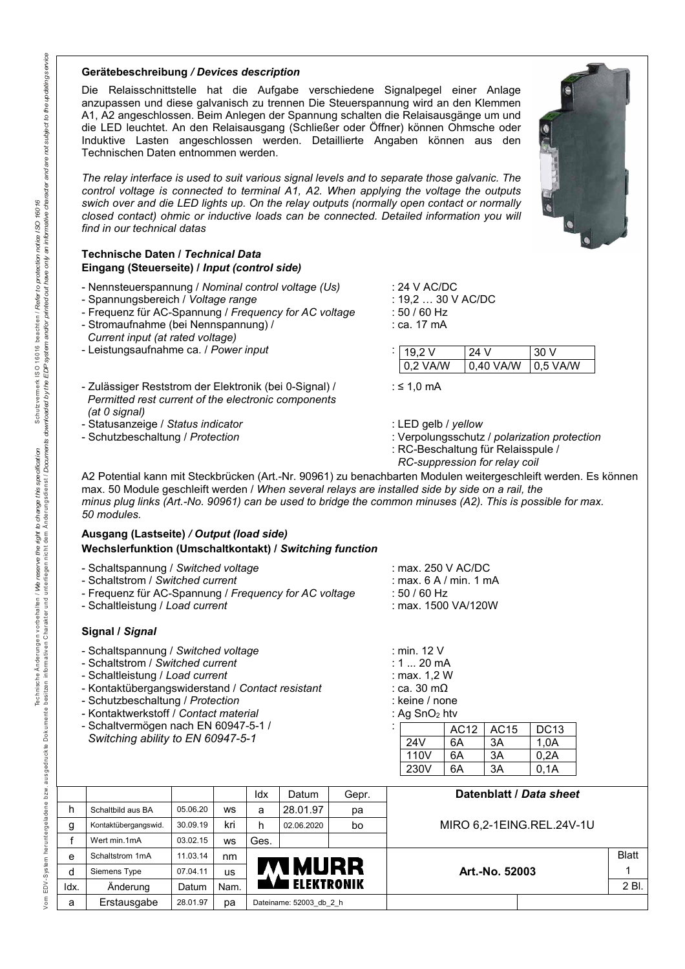#### **Gerätebeschreibung** */ Devices description*

Die Relaisschnittstelle hat die Aufgabe verschiedene Signalpegel einer Anlage anzupassen und diese galvanisch zu trennen Die Steuerspannung wird an den Klemmen A1, A2 angeschlossen. Beim Anlegen der Spannung schalten die Relaisausgänge um und die LED leuchtet. An den Relaisausgang (Schließer oder Öffner) können Ohmsche oder Induktive Lasten angeschlossen werden. Detaillierte Angaben können aus den Technischen Daten entnommen werden.

*The relay interface is used to suit various signal levels and to separate those galvanic. The control voltage is connected to terminal A1, A2. When applying the voltage the outputs swich over and die LED lights up. On the relay outputs (normally open contact or normally closed contact) ohmic or inductive loads can be connected. Detailed information you will find in our technical datas* 

### **Technische Daten /** *Technical Data* **Eingang (Steuerseite) /** *Input (control side)*

- Nennsteuerspannung / *Nominal control voltage (Us)* : 24 V AC/DC
- 
- Spannungsbereich / *Voltage range* : 19,2 ... 30 V AC/DC<br>- Frequenz für AC-Spannung / Frequency for AC voltage : 50 / 60 Hz - Frequenz für AC-Spannung / *Frequency for AC voltage* : 50 / 60 Hz
- Stromaufnahme (bei Nennspannung) /
- *Current input (at rated voltage)*
- Leistungsaufnahme ca. / *Power input* :
- 
- 

| 19.2 V   | 24 V      | -30 V     |
|----------|-----------|-----------|
| 0.2 VA/W | 0.40 VA/W | 10.5 VA/W |

- Zulässiger Reststrom der Elektronik (bei 0-Signal) / :≤ 1,0 mA  *Permitted rest current of the electronic components (at 0 signal)*
- Statusanzeige / *Status indicator* : LED gelb / *yellow*
- 
- 
- Schutzbeschaltung / *Protection* : Verpolungsschutz / *polarization protection*

AC12 | AC15 | DC13

24V 6A 3A 1,0A 110V 6A 3A 0,2A

: RC-Beschaltung für Relaisspule /  *RC-suppression for relay coil* 

A2 Potential kann mit Steckbrücken (Art.-Nr. 90961) zu benachbarten Modulen weitergeschleift werden. Es können max. 50 Module geschleift werden / *When several relays are installed side by side on a rail, the minus plug links (Art.-No. 90961) can be used to bridge the common minuses (A2). This is possible for max. 50 modules.* 

## **Ausgang (Lastseite)** */ Output (load side)* **Wechslerfunktion (Umschaltkontakt) /** *Switching function*

| - Schaltspannung / Switched voltage | : max. 250 V AC/DC |
|-------------------------------------|--------------------|
|-------------------------------------|--------------------|

- Schaltstrom / Switched current
- Frequenz für AC-Spannung / Frequency for AC voltage
- Schaltleistung / Load current

### **Signal /** *Signal*

- Schaltspannung / *Switched voltage* : min. 12 V
- Schaltstrom / Switched current
- 
- Schaltleistung / *Load current*<br>- Kontaktübergangswiderstand / *Contact resistant* : max. 1,2 W - Kontaktübergangswiderstand / *Contact resistant* : ca. 30 mΩ
- Schutzbeschaltung / *Protection* : keine / none
- Kontaktwerkstoff / *Contact material* : Ag SnO2 htv
- Schaltvermögen nach EN 60947-5-1 /  *Switching ability to EN 60947-5-1*

| max. 250 V AC/DC               |
|--------------------------------|
| max, $6 \text{ A}$ / min, 1 mA |
| $50/60$ Hz                     |
| max. 1500 VA/120W              |

|              |                      |          |           |      |                         |       | 230V | 6A | 3A             | 0,1A                      |              |
|--------------|----------------------|----------|-----------|------|-------------------------|-------|------|----|----------------|---------------------------|--------------|
|              |                      |          |           | Idx  | Datum                   | Gepr. |      |    |                | Datenblatt / Data sheet   |              |
| h            | Schaltbild aus BA    | 05.06.20 | <b>WS</b> | a    | 28.01.97                | рa    |      |    |                |                           |              |
| g            | Kontaktübergangswid. | 30.09.19 | kri       | h    | 02.06.2020              | bo    |      |    |                | MIRO 6,2-1EING.REL.24V-1U |              |
|              | Wert min.1mA         | 03.02.15 | <b>WS</b> | Ges. |                         |       |      |    |                |                           |              |
| $\mathbf{e}$ | Schaltstrom 1mA      | 11.03.14 | nm        |      |                         |       |      |    |                |                           | <b>Blatt</b> |
| d            | Siemens Type         | 07.04.11 | US        |      | <b>MURR</b>             |       |      |    | Art.-No. 52003 |                           |              |
| ldx.         | Änderung             | Datum    | Nam.      |      | <b>ELEKTRONIK</b>       |       |      |    |                |                           | 2 Bl.        |
| a            | Erstausgabe          | 28.01.97 | pа        |      | Dateiname: 52003 db 2 h |       |      |    |                |                           |              |



Technische Änderungen vorbehalten / We /

 $/ \circ m$